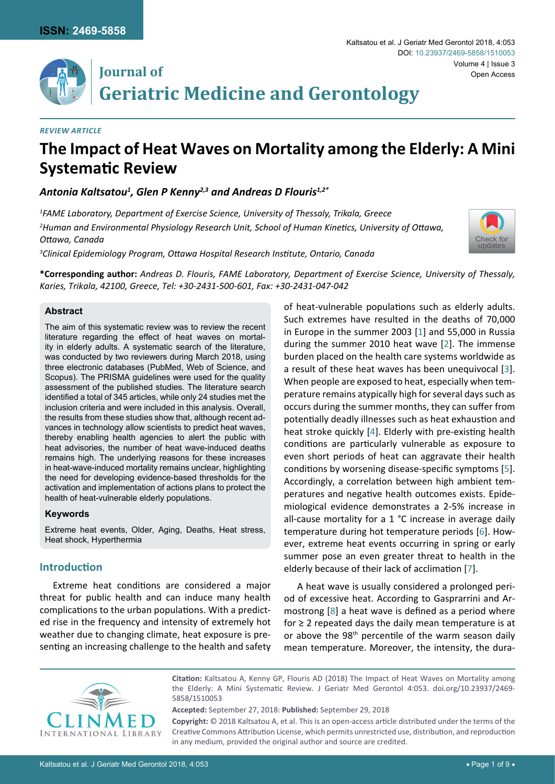

## **Journal of Geriatric Medicine and Gerontology**

#### *Review Article*

# **The Impact of Heat Waves on Mortality among the Elderly: A Mini Systematic Review**

Antonia Kaltsatou<sup>1</sup>, Glen P Kenny<sup>2,3</sup> and Andreas D Flouris<sup>1,2\*</sup>

*1 FAME Laboratory, Department of Exercise Science, University of Thessaly, Trikala, Greece*

*2 Human and Environmental Physiology Research Unit, School of Human Kinetics, University of Ottawa, Ottawa, Canada*

[Check for](http://crossmark.crossref.org/dialog/?doi=10.23937/2469-5858/1510053&domain=pdf) updates

*3 Clinical Epidemiology Program, Ottawa Hospital Research Institute, Ontario, Canada*

**\*Corresponding author:** *Andreas D. Flouris, FAME Laboratory, Department of Exercise Science, University of Thessaly, Karies, Trikala, 42100, Greece, Tel: +30-2431-500-601, Fax: +30-2431-047-042*

### **Abstract**

The aim of this systematic review was to review the recent literature regarding the effect of heat waves on mortality in elderly adults. A systematic search of the literature, was conducted by two reviewers during March 2018, using three electronic databases (PubMed, Web of Science, and Scopus). The PRISMA guidelines were used for the quality assessment of the published studies. The literature search identified a total of 345 articles, while only 24 studies met the inclusion criteria and were included in this analysis. Overall, the results from these studies show that, although recent advances in technology allow scientists to predict heat waves, thereby enabling health agencies to alert the public with heat advisories, the number of heat wave-induced deaths remains high. The underlying reasons for these increases in heat-wave-induced mortality remains unclear, highlighting the need for developing evidence-based thresholds for the activation and implementation of actions plans to protect the health of heat-vulnerable elderly populations.

## **Keywords**

Extreme heat events, Older, Aging, Deaths, Heat stress, Heat shock, Hyperthermia

## **Introduction**

Extreme heat conditions are considered a major threat for public health and can induce many health complications to the urban populations. With a predicted rise in the frequency and intensity of extremely hot weather due to changing climate, heat exposure is presenting an increasing challenge to the health and safety of heat-vulnerable populations such as elderly adults. Such extremes have resulted in the deaths of 70,000 in Europe in the summer 2003 [[1](#page-6-0)] and 55,000 in Russia during the summer 2010 heat wave [[2](#page-6-1)]. The immense burden placed on the health care systems worldwide as a result of these heat waves has been unequivocal [\[3\]](#page-6-2). When people are exposed to heat, especially when temperature remains atypically high for several days such as occurs during the summer months, they can suffer from potentially deadly illnesses such as heat exhaustion and heat stroke quickly [\[4\]](#page-6-3). Elderly with pre-existing health conditions are particularly vulnerable as exposure to even short periods of heat can aggravate their health conditions by worsening disease-specific symptoms [\[5\]](#page-6-4). Accordingly, a correlation between high ambient temperatures and negative health outcomes exists. Epidemiological evidence demonstrates a 2-5% increase in all-cause mortality for a 1 °C increase in average daily temperature during hot temperature periods [\[6\]](#page-6-5). However, extreme heat events occurring in spring or early summer pose an even greater threat to health in the elderly because of their lack of acclimation [\[7\]](#page-7-0).

A heat wave is usually considered a prolonged period of excessive heat. According to Gasprarrini and Armostrong [[8](#page-7-1)] a heat wave is defined as a period where for  $\geq$  2 repeated days the daily mean temperature is at or above the 98<sup>th</sup> percentile of the warm season daily mean temperature. Moreover, the intensity, the dura-



**Citation:** Kaltsatou A, Kenny GP, Flouris AD (2018) The Impact of Heat Waves on Mortality among the Elderly: A Mini Systematic Review. J Geriatr Med Gerontol 4:053. [doi.org/10.23937/2469-](https://doi.org/10.23937/2469-5858/1510053) [5858/1510053](https://doi.org/10.23937/2469-5858/1510053)

**Accepted:** September 27, 2018: **Published:** September 29, 2018 **Copyright:** © 2018 Kaltsatou A, et al. This is an open-access article distributed under the terms of the Creative Commons Attribution License, which permits unrestricted use, distribution, and reproduction in any medium, provided the original author and source are credited.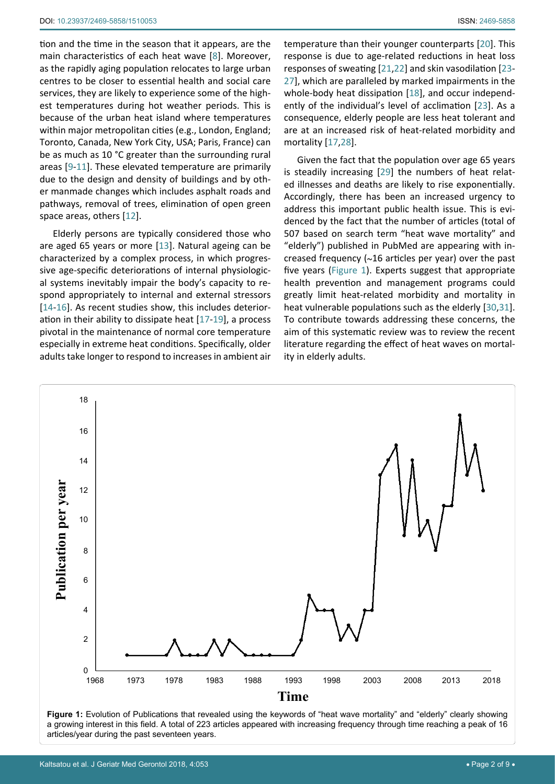tion and the time in the season that it appears, are the main characteristics of each heat wave [[8](#page-7-1)]. Moreover, as the rapidly aging population relocates to large urban centres to be closer to essential health and social care services, they are likely to experience some of the highest temperatures during hot weather periods. This is because of the urban heat island where temperatures within major metropolitan cities (e.g., London, England; Toronto, Canada, New York City, USA; Paris, France) can be as much as 10 °C greater than the surrounding rural areas [[9-](#page-7-13)[11](#page-7-14)]. These elevated temperature are primarily due to the design and density of buildings and by other manmade changes which includes asphalt roads and pathways, removal of trees, elimination of open green space areas, others [[12](#page-7-15)].

Elderly persons are typically considered those who are aged 65 years or more [\[13](#page-7-16)]. Natural ageing can be characterized by a complex process, in which progressive age-specific deteriorations of internal physiological systems inevitably impair the body's capacity to respond appropriately to internal and external stressors [[14](#page-7-17)[-16\]](#page-7-18). As recent studies show, this includes deterioration in their ability to dissipate heat [[17](#page-7-8)[-19](#page-7-19)], a process pivotal in the maintenance of normal core temperature especially in extreme heat conditions. Specifically, older adults take longer to respond to increases in ambient air temperature than their younger counterparts [[20](#page-7-2)]. This response is due to age-related reductions in heat loss responses of sweating [[21](#page-7-3),[22](#page-7-4)] and skin vasodilation [\[23](#page-7-5)- [27\]](#page-7-6), which are paralleled by marked impairments in the whole-body heat dissipation [[18](#page-7-7)], and occur independently of the individual's level of acclimation [\[23](#page-7-5)]. As a consequence, elderly people are less heat tolerant and are at an increased risk of heat-related morbidity and mortality [[17](#page-7-8),[28](#page-7-9)].

Given the fact that the population over age 65 years is steadily increasing [\[29](#page-7-10)] the numbers of heat related illnesses and deaths are likely to rise exponentially. Accordingly, there has been an increased urgency to address this important public health issue. This is evidenced by the fact that the number of articles (total of 507 based on search term "heat wave mortality" and "elderly") published in PubMed are appearing with increased frequency (~16 articles per year) over the past five years ([Figure 1](#page-1-0)). Experts suggest that appropriate health prevention and management programs could greatly limit heat-related morbidity and mortality in heat vulnerable populations such as the elderly [[30](#page-7-11),[31\]](#page-7-12). To contribute towards addressing these concerns, the aim of this systematic review was to review the recent literature regarding the effect of heat waves on mortality in elderly adults.

<span id="page-1-0"></span>

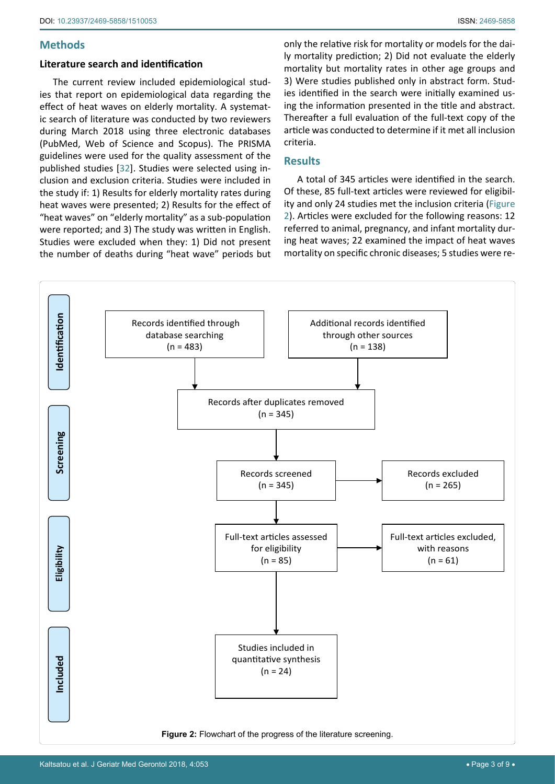## **Methods**

## **Literature search and identification**

The current review included epidemiological studies that report on epidemiological data regarding the effect of heat waves on elderly mortality. A systematic search of literature was conducted by two reviewers during March 2018 using three electronic databases (PubMed, Web of Science and Scopus). The PRISMA guidelines were used for the quality assessment of the published studies [\[32](#page-7-20)]. Studies were selected using inclusion and exclusion criteria. Studies were included in the study if: 1) Results for elderly mortality rates during heat waves were presented; 2) Results for the effect of "heat waves" on "elderly mortality" as a sub-population were reported; and 3) The study was written in English. Studies were excluded when they: 1) Did not present the number of deaths during "heat wave" periods but

only the relative risk for mortality or models for the daily mortality prediction; 2) Did not evaluate the elderly mortality but mortality rates in other age groups and 3) Were studies published only in abstract form. Studies identified in the search were initially examined using the information presented in the title and abstract. Thereafter a full evaluation of the full-text copy of the article was conducted to determine if it met all inclusion criteria.

## **Results**

A total of 345 articles were identified in the search. Of these, 85 full-text articles were reviewed for eligibility and only 24 studies met the inclusion criteria ([Figure](#page-2-0)  [2](#page-2-0)). Articles were excluded for the following reasons: 12 referred to animal, pregnancy, and infant mortality during heat waves; 22 examined the impact of heat waves mortality on specific chronic diseases; 5 studies were re-

<span id="page-2-0"></span>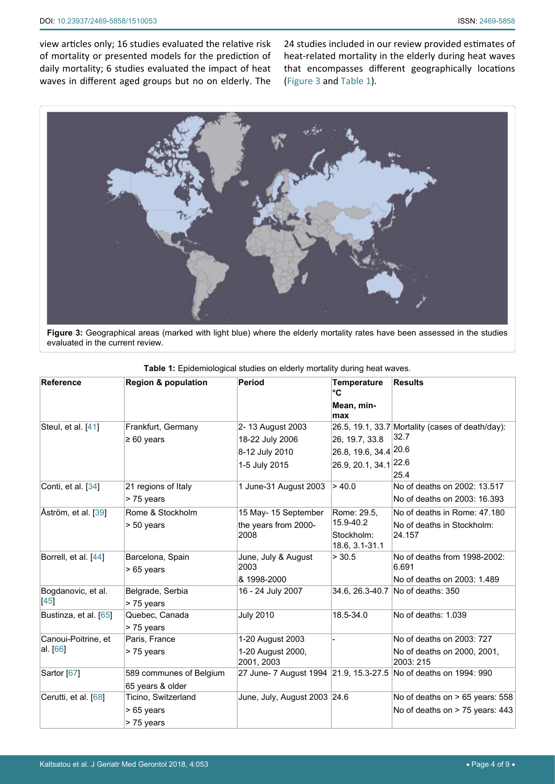view articles only; 16 studies evaluated the relative risk of mortality or presented models for the prediction of daily mortality; 6 studies evaluated the impact of heat waves in different aged groups but no on elderly. The

24 studies included in our review provided estimates of heat-related mortality in the elderly during heat waves that encompasses different geographically locations ([Figure 3](#page-3-0) and [Table 1](#page-3-1)).

<span id="page-3-0"></span>

**Figure 3:** Geographical areas (marked with light blue) where the elderly mortality rates have been assessed in the studies evaluated in the current review.

| <b>Reference</b>                  | <b>Region &amp; population</b>                  | Period                                                                 | <b>Temperature</b><br>°C<br>Mean, min-<br>max               | <b>Results</b>                                                           |
|-----------------------------------|-------------------------------------------------|------------------------------------------------------------------------|-------------------------------------------------------------|--------------------------------------------------------------------------|
| Steul, et al. [41]                | Frankfurt, Germany<br>$\geq 60$ years           | 2-13 August 2003<br>18-22 July 2006<br>8-12 July 2010<br>1-5 July 2015 | 26, 19.7, 33.8<br>26.8, 19.6, 34.4 20.6<br>26.9, 20.1, 34.1 | 26.5, 19.1, 33.7 Mortality (cases of death/day):<br>32.7<br>22.6<br>25.4 |
| Conti, et al. [34]                | 21 regions of Italy<br>> 75 years               | 1 June-31 August 2003                                                  | > 40.0                                                      | No of deaths on 2002: 13.517<br>No of deaths on 2003: 16.393             |
| Åström, et al. [39]               | Rome & Stockholm<br>> 50 years                  | 15 May- 15 September<br>the years from 2000-<br>2008                   | Rome: 29.5.<br>15.9-40.2<br>Stockholm:<br>18.6, 3.1-31.1    | No of deaths in Rome: 47.180<br>No of deaths in Stockholm:<br>24.157     |
| Borrell, et al. [44]              | Barcelona, Spain<br>> 65 years                  | June, July & August<br>2003<br>& 1998-2000                             | > 30.5                                                      | No of deaths from 1998-2002:<br>6.691<br>No of deaths on 2003: 1.489     |
| Bogdanovic, et al.<br>$[45]$      | Belgrade, Serbia<br>> 75 years                  | 16 - 24 July 2007                                                      |                                                             | 34.6, 26.3-40.7 No of deaths: 350                                        |
| Bustinza, et al. [65]             | Quebec, Canada<br>> 75 years                    | <b>July 2010</b>                                                       | 18.5-34.0                                                   | No of deaths: 1.039                                                      |
| Canoui-Poitrine, et<br>al. $[66]$ | Paris, France<br>> 75 years                     | 1-20 August 2003<br>1-20 August 2000,<br>2001, 2003                    |                                                             | No of deaths on 2003: 727<br>No of deaths on 2000, 2001,<br>2003: 215    |
| Sartor [67]                       | 589 communes of Belgium<br>65 years & older     |                                                                        |                                                             | 27 June- 7 August 1994 21.9, 15.3-27.5 No of deaths on 1994: 990         |
| Cerutti, et al. [68]              | Ticino, Switzerland<br>> 65 years<br>> 75 years | June, July, August 2003 24.6                                           |                                                             | No of deaths on > 65 years: 558<br>No of deaths on > 75 years: 443       |

<span id="page-3-1"></span>**Table 1:** Epidemiological studies on elderly mortality during heat waves.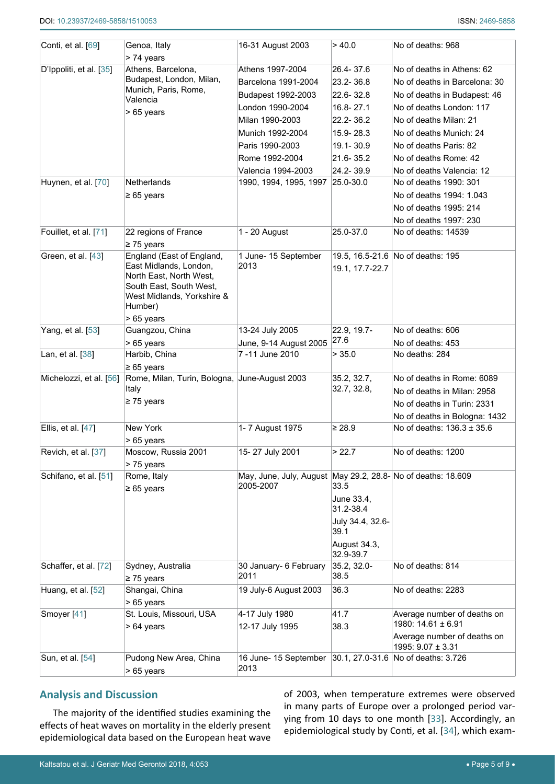| Conti, et al. [69]      | Genoa, Italy<br>> 74 years                        | 16-31 August 2003                                                 | > 40.0                  | No of deaths: 968                 |
|-------------------------|---------------------------------------------------|-------------------------------------------------------------------|-------------------------|-----------------------------------|
| D'Ippoliti, et al. [35] | Athens, Barcelona,                                | Athens 1997-2004                                                  | 26.4-37.6               | No of deaths in Athens: 62        |
|                         | Budapest, London, Milan,                          | Barcelona 1991-2004                                               | 23.2-36.8               | No of deaths in Barcelona: 30     |
|                         | Munich, Paris, Rome,                              | Budapest 1992-2003                                                | 22.6-32.8               | No of deaths in Budapest: 46      |
|                         | Valencia                                          | London 1990-2004                                                  | 16.8-27.1               | No of deaths London: 117          |
|                         | > 65 years                                        | Milan 1990-2003                                                   | 22.2-36.2               | No of deaths Milan: 21            |
|                         |                                                   | Munich 1992-2004                                                  | 15.9-28.3               | No of deaths Munich: 24           |
|                         |                                                   |                                                                   |                         | No of deaths Paris: 82            |
|                         |                                                   | Paris 1990-2003                                                   | 19.1-30.9               |                                   |
|                         |                                                   | Rome 1992-2004                                                    | 21.6-35.2               | No of deaths Rome: 42             |
|                         | Netherlands                                       | Valencia 1994-2003                                                | 24.2-39.9               | No of deaths Valencia: 12         |
| Huynen, et al. [70]     |                                                   | 1990, 1994, 1995, 1997 25.0-30.0                                  |                         | No of deaths 1990: 301            |
|                         | $\geq 65$ years                                   |                                                                   |                         | No of deaths 1994: 1.043          |
|                         |                                                   |                                                                   |                         | No of deaths 1995: 214            |
|                         |                                                   |                                                                   |                         | No of deaths 1997: 230            |
| Fouillet, et al. [71]   | 22 regions of France                              | 1 - 20 August                                                     | 25.0-37.0               | No of deaths: 14539               |
|                         | $\geq$ 75 years                                   |                                                                   |                         |                                   |
| Green, et al. [43]      | England (East of England,                         | 1 June- 15 September                                              |                         | 19.5, 16.5-21.6 No of deaths: 195 |
|                         | East Midlands, London,<br>North East, North West, | 2013                                                              | 19.1, 17.7-22.7         |                                   |
|                         | South East, South West,                           |                                                                   |                         |                                   |
|                         | West Midlands, Yorkshire &                        |                                                                   |                         |                                   |
|                         | Humber)                                           |                                                                   |                         |                                   |
|                         | > 65 years                                        |                                                                   |                         |                                   |
| Yang, et al. [53]       | Guangzou, China                                   | 13-24 July 2005                                                   | 22.9, 19.7-             | No of deaths: 606                 |
|                         | > 65 years                                        | June, 9-14 August 2005                                            | 27.6                    | No of deaths: 453                 |
| Lan, et al. [38]        | Harbib, China                                     | 7-11 June 2010                                                    | > 35.0                  | No deaths: 284                    |
|                         | $\geq 65$ years                                   |                                                                   |                         |                                   |
| Michelozzi, et al. [56] | Rome, Milan, Turin, Bologna, June-August 2003     |                                                                   | 35.2, 32.7,             | No of deaths in Rome: 6089        |
|                         | Italy                                             |                                                                   | 32.7, 32.8,             | No of deaths in Milan: 2958       |
|                         | $\geq$ 75 years                                   |                                                                   |                         | No of deaths in Turin: 2331       |
|                         |                                                   |                                                                   |                         | No of deaths in Bologna: 1432     |
| Ellis, et al. [47]      | New York                                          | 1- 7 August 1975                                                  | $\geq 28.9$             | No of deaths: 136.3 ± 35.6        |
|                         | > 65 years                                        |                                                                   |                         |                                   |
| Revich, et al. [37]     | Moscow, Russia 2001                               | 15-27 July 2001                                                   | > 22.7                  | No of deaths: 1200                |
|                         | > 75 years                                        |                                                                   |                         |                                   |
| Schifano, et al. [51]   | Rome, Italy                                       | May, June, July, August May 29.2, 28.8- No of deaths: 18.609      |                         |                                   |
|                         | $\geq 65$ years                                   | 2005-2007                                                         | 33.5                    |                                   |
|                         |                                                   |                                                                   | June 33.4,<br>31.2-38.4 |                                   |
|                         |                                                   |                                                                   | July 34.4, 32.6-        |                                   |
|                         |                                                   |                                                                   | 39.1                    |                                   |
|                         |                                                   |                                                                   | August 34.3,            |                                   |
|                         |                                                   |                                                                   | 32.9-39.7               |                                   |
| Schaffer, et al. [72]   | Sydney, Australia                                 | 30 January- 6 February                                            | 35.2, 32.0-             | No of deaths: 814                 |
|                         | $\geq$ 75 years                                   | 2011                                                              | 38.5                    |                                   |
| Huang, et al. [52]      | Shangai, China                                    | 19 July-6 August 2003                                             | 36.3                    | No of deaths: 2283                |
|                         | > 65 years                                        |                                                                   |                         |                                   |
| Smoyer [41]             | St. Louis, Missouri, USA                          | 4-17 July 1980                                                    | 41.7                    | Average number of deaths on       |
|                         | > 64 years                                        | 12-17 July 1995                                                   | 38.3                    | 1980: $14.61 \pm 6.91$            |
|                         |                                                   |                                                                   |                         | Average number of deaths on       |
|                         |                                                   |                                                                   |                         | 1995: $9.07 \pm 3.31$             |
| Sun, et al. [54]        | Pudong New Area, China                            | 16 June- 15 September 30.1, 27.0-31.6 No of deaths: 3.726<br>2013 |                         |                                   |
|                         | > 65 years                                        |                                                                   |                         |                                   |

## **Analysis and Discussion**

The majority of the identified studies examining the effects of heat waves on mortality in the elderly present epidemiological data based on the European heat wave

of 2003, when temperature extremes were observed in many parts of Europe over a prolonged period varying from 10 days to one month [\[33](#page-7-30)]. Accordingly, an epidemiological study by Conti, et al. [[34](#page-7-22)], which exam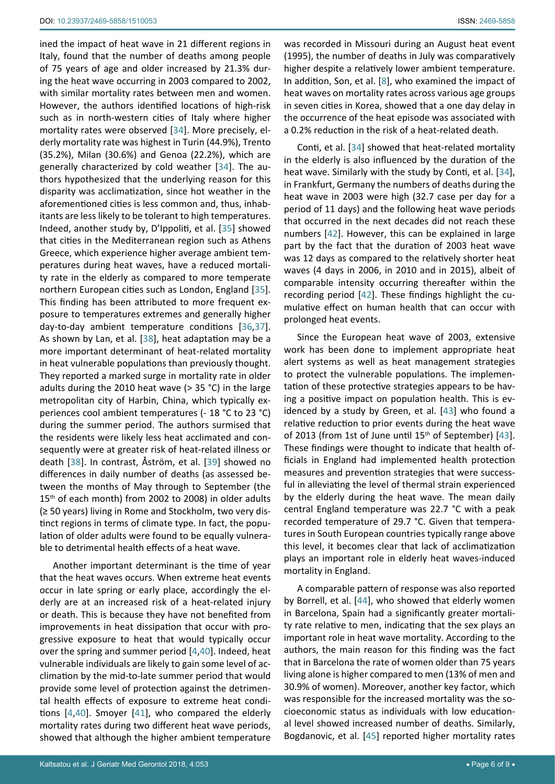ined the impact of heat wave in 21 different regions in Italy, found that the number of deaths among people of 75 years of age and older increased by 21.3% during the heat wave occurring in 2003 compared to 2002, with similar mortality rates between men and women. However, the authors identified locations of high-risk such as in north-western cities of Italy where higher mortality rates were observed [[34](#page-7-22)]. More precisely, elderly mortality rate was highest in Turin (44.9%), Trento (35.2%), Milan (30.6%) and Genoa (22.2%), which are generally characterized by cold weather [\[34](#page-7-22)]. The authors hypothesized that the underlying reason for this disparity was acclimatization, since hot weather in the aforementioned cities is less common and, thus, inhabitants are less likely to be tolerant to high temperatures. Indeed, another study by, D'Ippoliti, et al. [[35](#page-7-26)] showed that cities in the Mediterranean region such as Athens Greece, which experience higher average ambient temperatures during heat waves, have a reduced mortality rate in the elderly as compared to more temperate northern European cities such as London, England [\[35](#page-7-26)]. This finding has been attributed to more frequent exposure to temperatures extremes and generally higher day-to-day ambient temperature conditions [\[36](#page-7-32),[37](#page-7-29)]. As shown by Lan, et al. [\[38\]](#page-7-28), heat adaptation may be a more important determinant of heat-related mortality in heat vulnerable populations than previously thought. They reported a marked surge in mortality rate in older adults during the 2010 heat wave (> 35 °C) in the large metropolitan city of Harbin, China, which typically experiences cool ambient temperatures (- 18 °C to 23 °C) during the summer period. The authors surmised that the residents were likely less heat acclimated and consequently were at greater risk of heat-related illness or death [[38\]](#page-7-28). In contrast, Åström, et al. [\[39](#page-7-23)] showed no differences in daily number of deaths (as assessed between the months of May through to September (the 15<sup>th</sup> of each month) from 2002 to 2008) in older adults (≥ 50 years) living in Rome and Stockholm, two very distinct regions in terms of climate type. In fact, the population of older adults were found to be equally vulnerable to detrimental health effects of a heat wave.

Another important determinant is the time of year that the heat waves occurs. When extreme heat events occur in late spring or early place, accordingly the elderly are at an increased risk of a heat-related injury or death. This is because they have not benefited from improvements in heat dissipation that occur with progressive exposure to heat that would typically occur over the spring and summer period [\[4](#page-6-3),[40](#page-7-33)]. Indeed, heat vulnerable individuals are likely to gain some level of acclimation by the mid-to-late summer period that would provide some level of protection against the detrimental health effects of exposure to extreme heat conditions [\[4](#page-6-3),[40\]](#page-7-33). Smoyer [[41\]](#page-7-21), who compared the elderly mortality rates during two different heat wave periods, showed that although the higher ambient temperature

was recorded in Missouri during an August heat event (1995), the number of deaths in July was comparatively higher despite a relatively lower ambient temperature. In addition, Son, et al. [[8](#page-7-1)], who examined the impact of heat waves on mortality rates across various age groups in seven cities in Korea, showed that a one day delay in the occurrence of the heat episode was associated with a 0.2% reduction in the risk of a heat-related death.

Conti, et al. [[34\]](#page-7-22) showed that heat-related mortality in the elderly is also influenced by the duration of the heat wave. Similarly with the study by Conti, et al. [\[34](#page-7-22)], in Frankfurt, Germany the numbers of deaths during the heat wave in 2003 were high (32.7 case per day for a period of 11 days) and the following heat wave periods that occurred in the next decades did not reach these numbers [\[42](#page-7-31)]. However, this can be explained in large part by the fact that the duration of 2003 heat wave was 12 days as compared to the relatively shorter heat waves (4 days in 2006, in 2010 and in 2015), albeit of comparable intensity occurring thereafter within the recording period [[42\]](#page-7-31). These findings highlight the cumulative effect on human health that can occur with prolonged heat events.

Since the European heat wave of 2003, extensive work has been done to implement appropriate heat alert systems as well as heat management strategies to protect the vulnerable populations. The implementation of these protective strategies appears to be having a positive impact on population health. This is evidenced by a study by Green, et al. [[43\]](#page-7-27) who found a relative reduction to prior events during the heat wave of 2013 (from 1st of June until 15<sup>th</sup> of September) [\[43\]](#page-7-27). These findings were thought to indicate that health officials in England had implemented health protection measures and prevention strategies that were successful in alleviating the level of thermal strain experienced by the elderly during the heat wave. The mean daily central England temperature was 22.7 °C with a peak recorded temperature of 29.7 °C. Given that temperatures in South European countries typically range above this level, it becomes clear that lack of acclimatization plays an important role in elderly heat waves-induced mortality in England.

A comparable pattern of response was also reported by Borrell, et al. [\[44](#page-7-24)], who showed that elderly women in Barcelona, Spain had a significantly greater mortality rate relative to men, indicating that the sex plays an important role in heat wave mortality. According to the authors, the main reason for this finding was the fact that in Barcelona the rate of women older than 75 years living alone is higher compared to men (13% of men and 30.9% of women). Moreover, another key factor, which was responsible for the increased mortality was the socioeconomic status as individuals with low educational level showed increased number of deaths. Similarly, Bogdanovic, et al. [[45](#page-7-25)] reported higher mortality rates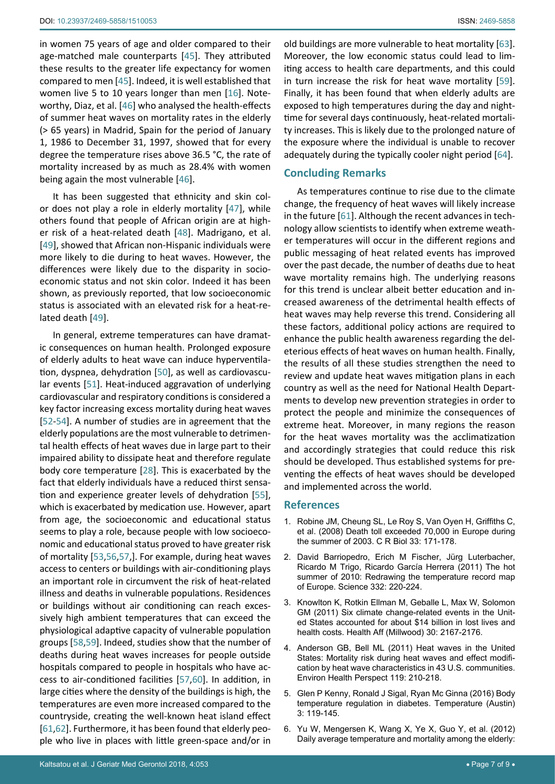in women 75 years of age and older compared to their age-matched male counterparts [[45\]](#page-7-25). They attributed these results to the greater life expectancy for women compared to men [[45\]](#page-7-25). Indeed, it is well established that women live 5 to 10 years longer than men [\[16\]](#page-7-18). Noteworthy, Diaz, et al. [\[46](#page-8-18)] who analysed the health-effects of summer heat waves on mortality rates in the elderly (> 65 years) in Madrid, Spain for the period of January 1, 1986 to December 31, 1997, showed that for every degree the temperature rises above 36.5 °C, the rate of mortality increased by as much as 28.4% with women being again the most vulnerable [[46](#page-8-18)].

It has been suggested that ethnicity and skin color does not play a role in elderly mortality [[47\]](#page-8-9), while others found that people of African origin are at higher risk of a heat-related death [\[48](#page-8-19)]. Madrigano, et al. [[49](#page-8-20)], showed that African non-Hispanic individuals were more likely to die during to heat waves. However, the differences were likely due to the disparity in socioeconomic status and not skin color. Indeed it has been shown, as previously reported, that low socioeconomic status is associated with an elevated risk for a heat-related death [[49\]](#page-8-20).

In general, extreme temperatures can have dramatic consequences on human health. Prolonged exposure of elderly adults to heat wave can induce hyperventilation, dyspnea, dehydration [[50\]](#page-8-21), as well as cardiovascular events [[51\]](#page-8-10). Heat-induced aggravation of underlying cardiovascular and respiratory conditions is considered a key factor increasing excess mortality during heat waves [[52](#page-8-12)[-54](#page-8-13)]. A number of studies are in agreement that the elderly populations are the most vulnerable to detrimental health effects of heat waves due in large part to their impaired ability to dissipate heat and therefore regulate body core temperature [[28](#page-7-9)]. This is exacerbated by the fact that elderly individuals have a reduced thirst sensation and experience greater levels of dehydration [\[55](#page-8-22)], which is exacerbated by medication use. However, apart from age, the socioeconomic and educational status seems to play a role, because people with low socioeconomic and educational status proved to have greater risk of mortality [\[53](#page-8-7),[56](#page-8-8),[57,](#page-8-23)]. For example, during heat waves access to centers or buildings with air-conditioning plays an important role in circumvent the risk of heat-related illness and deaths in vulnerable populations. Residences or buildings without air conditioning can reach excessively high ambient temperatures that can exceed the physiological adaptive capacity of vulnerable population groups [\[58](#page-8-24),[59](#page-8-15)]. Indeed, studies show that the number of deaths during heat waves increases for people outside hospitals compared to people in hospitals who have access to air-conditioned facilities [[57](#page-8-23),[60](#page-8-25)]. In addition, in large cities where the density of the buildings is high, the temperatures are even more increased compared to the countryside, creating the well-known heat island effect [[61](#page-8-17),[62\]](#page-8-26). Furthermore, it has been found that elderly people who live in places with little green-space and/or in

old buildings are more vulnerable to heat mortality [[63\]](#page-8-14). Moreover, the low economic status could lead to limiting access to health care departments, and this could in turn increase the risk for heat wave mortality [[59\]](#page-8-15). Finally, it has been found that when elderly adults are exposed to high temperatures during the day and nighttime for several days continuously, heat-related mortality increases. This is likely due to the prolonged nature of the exposure where the individual is unable to recover adequately during the typically cooler night period [[64\]](#page-8-16).

## **Concluding Remarks**

As temperatures continue to rise due to the climate change, the frequency of heat waves will likely increase in the future [\[61\]](#page-8-17). Although the recent advances in technology allow scientists to identify when extreme weather temperatures will occur in the different regions and public messaging of heat related events has improved over the past decade, the number of deaths due to heat wave mortality remains high. The underlying reasons for this trend is unclear albeit better education and increased awareness of the detrimental health effects of heat waves may help reverse this trend. Considering all these factors, additional policy actions are required to enhance the public health awareness regarding the deleterious effects of heat waves on human health. Finally, the results of all these studies strengthen the need to review and update heat waves mitigation plans in each country as well as the need for National Health Departments to develop new prevention strategies in order to protect the people and minimize the consequences of extreme heat. Moreover, in many regions the reason for the heat waves mortality was the acclimatization and accordingly strategies that could reduce this risk should be developed. Thus established systems for preventing the effects of heat waves should be developed and implemented across the world.

### **References**

- <span id="page-6-0"></span>1. [Robine JM, Cheung SL, Le Roy S, Van Oyen H, Griffiths C,](https://www.ncbi.nlm.nih.gov/pubmed/18241810)  [et al. \(2008\) Death toll exceeded 70,000 in Europe during](https://www.ncbi.nlm.nih.gov/pubmed/18241810)  [the summer of 2003. C R Biol 33: 171-178.](https://www.ncbi.nlm.nih.gov/pubmed/18241810)
- <span id="page-6-1"></span>2. [David Barriopedro, Erich M Fischer, Jürg Luterbacher,](http://science.sciencemag.org/content/332/6026/220)  [Ricardo M Trigo, Ricardo García Herrera \(2011\) The hot](http://science.sciencemag.org/content/332/6026/220)  [summer of 2010: Redrawing the temperature record map](http://science.sciencemag.org/content/332/6026/220)  [of Europe. Science 332: 220-224.](http://science.sciencemag.org/content/332/6026/220)
- <span id="page-6-2"></span>3. [Knowlton K, Rotkin Ellman M, Geballe L, Max W, Solomon](https://www.ncbi.nlm.nih.gov/pubmed/22068410)  [GM \(2011\) Six climate change-related events in the Unit](https://www.ncbi.nlm.nih.gov/pubmed/22068410)[ed States accounted for about \\$14 billion in lost lives and](https://www.ncbi.nlm.nih.gov/pubmed/22068410)  [health costs. Health Aff \(Millwood\) 30: 2167-2176.](https://www.ncbi.nlm.nih.gov/pubmed/22068410)
- <span id="page-6-3"></span>4. [Anderson GB, Bell ML \(2011\) Heat waves in the United](https://www.ncbi.nlm.nih.gov/pubmed/21084239)  [States: Mortality risk during heat waves and effect modifi](https://www.ncbi.nlm.nih.gov/pubmed/21084239)[cation by heat wave characteristics in 43 U.S. communities.](https://www.ncbi.nlm.nih.gov/pubmed/21084239)  [Environ Health Perspect 119: 210-218.](https://www.ncbi.nlm.nih.gov/pubmed/21084239)
- <span id="page-6-4"></span>5. [Glen P Kenny, Ronald J Sigal, Ryan Mc Ginna \(2016\) Body](https://www.ncbi.nlm.nih.gov/pmc/articles/PMC4861190/)  [temperature regulation in diabetes. Temperature \(Austin\)](https://www.ncbi.nlm.nih.gov/pmc/articles/PMC4861190/)  [3: 119-145.](https://www.ncbi.nlm.nih.gov/pmc/articles/PMC4861190/)
- <span id="page-6-5"></span>6. [Yu W, Mengersen K, Wang X, Ye X, Guo Y, et al. \(2012\)](https://www.ncbi.nlm.nih.gov/pubmed/21975970)  [Daily average temperature and mortality among the elderly:](https://www.ncbi.nlm.nih.gov/pubmed/21975970)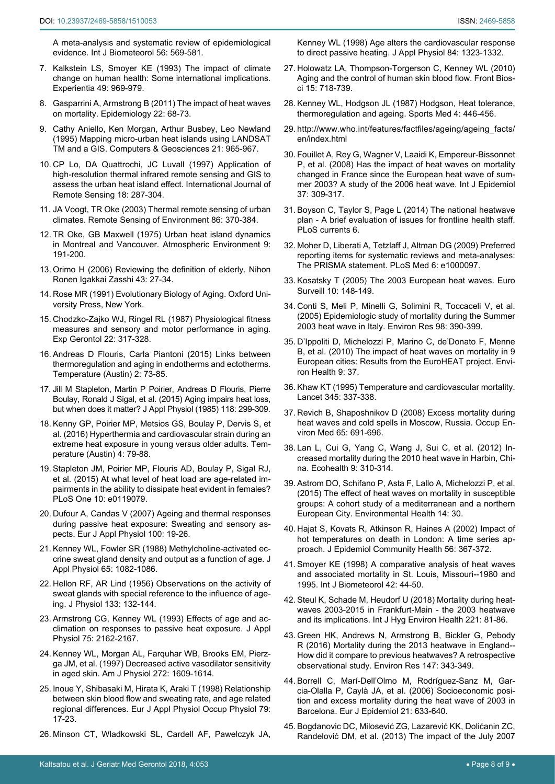<span id="page-7-0"></span>[A meta-analysis and systematic review of epidemiological](https://www.ncbi.nlm.nih.gov/pubmed/21975970)  [evidence. Int J Biometeorol 56: 569-581.](https://www.ncbi.nlm.nih.gov/pubmed/21975970)

- 7. [Kalkstein LS, Smoyer KE \(1993\) The impact of climate](https://www.ncbi.nlm.nih.gov/pubmed/8253171)  [change on human health: Some international implications.](https://www.ncbi.nlm.nih.gov/pubmed/8253171)  [Experientia 49: 969-979.](https://www.ncbi.nlm.nih.gov/pubmed/8253171)
- <span id="page-7-1"></span>8. [Gasparrini A, Armstrong B \(2011\) The impact of heat waves](https://www.ncbi.nlm.nih.gov/pubmed/21150355)  [on mortality. Epidemiology 22: 68-73.](https://www.ncbi.nlm.nih.gov/pubmed/21150355)
- <span id="page-7-13"></span>9. [Cathy Aniello, Ken Morgan, Arthur Busbey, Leo Newland](https://www.sciencedirect.com/science/article/pii/0098300495000335)  [\(1995\) Mapping micro-urban heat islands using LANDSAT](https://www.sciencedirect.com/science/article/pii/0098300495000335)  [TM and a GIS. Computers & Geosciences 21: 965-967.](https://www.sciencedirect.com/science/article/pii/0098300495000335)
- 10. [CP Lo, DA Quattrochi, JC Luvall \(1997\) Application of](https://www.tandfonline.com/doi/abs/10.1080/014311697219079)  [high-resolution thermal infrared remote sensing and GIS to](https://www.tandfonline.com/doi/abs/10.1080/014311697219079)  [assess the urban heat island effect. International Journal of](https://www.tandfonline.com/doi/abs/10.1080/014311697219079)  [Remote Sensing 18: 287-304.](https://www.tandfonline.com/doi/abs/10.1080/014311697219079)
- <span id="page-7-14"></span>11. [JA Voogt, TR Oke \(2003\) Thermal remote sensing of urban](https://www.sciencedirect.com/science/article/pii/S0034425703000798)  [climates. Remote Sensing of Environment 86: 370-384.](https://www.sciencedirect.com/science/article/pii/S0034425703000798)
- <span id="page-7-15"></span>12. [TR Oke, GB Maxwell \(1975\) Urban heat island dynamics](https://www.sciencedirect.com/science/article/pii/0004698175900670)  [in Montreal and Vancouver. Atmospheric Environment 9:](https://www.sciencedirect.com/science/article/pii/0004698175900670) [191-200.](https://www.sciencedirect.com/science/article/pii/0004698175900670)
- <span id="page-7-16"></span>13. [Orimo H \(2006\) Reviewing the definition of elderly. Nihon](https://www.ncbi.nlm.nih.gov/pubmed/16521795)  [Ronen Igakkai Zasshi 43: 27-34.](https://www.ncbi.nlm.nih.gov/pubmed/16521795)
- <span id="page-7-17"></span>14. [Rose MR \(1991\) Evolutionary Biology of Aging. Oxford Uni](https://books.google.co.in/books?hl=en&lr=&id=83Q8DwAAQBAJ&oi=fnd&pg=PR13&ots=yvVgx0WmH9&sig=j5oybzpMGOU26_0z7IIgCt_HXUU&redir_esc=y#v=onepage&q&f=false)[versity Press, New York.](https://books.google.co.in/books?hl=en&lr=&id=83Q8DwAAQBAJ&oi=fnd&pg=PR13&ots=yvVgx0WmH9&sig=j5oybzpMGOU26_0z7IIgCt_HXUU&redir_esc=y#v=onepage&q&f=false)
- 15. [Chodzko-Zajko WJ, Ringel RL \(1987\) Physiological fitness](https://www.ncbi.nlm.nih.gov/pubmed/3428409)  [measures and sensory and motor performance in aging.](https://www.ncbi.nlm.nih.gov/pubmed/3428409)  [Exp Gerontol 22: 317-328.](https://www.ncbi.nlm.nih.gov/pubmed/3428409)
- <span id="page-7-18"></span>16. [Andreas D Flouris, Carla Piantoni \(2015\) Links between](https://www.ncbi.nlm.nih.gov/pmc/articles/PMC4843886/)  [thermoregulation and aging in endotherms and ectotherms.](https://www.ncbi.nlm.nih.gov/pmc/articles/PMC4843886/)  [Temperature \(Austin\) 2: 73-85.](https://www.ncbi.nlm.nih.gov/pmc/articles/PMC4843886/)
- <span id="page-7-8"></span>17. [Jill M Stapleton, Martin P Poirier, Andreas D Flouris, Pierre](https://www.ncbi.nlm.nih.gov/pmc/articles/PMC4312844/)  [Boulay, Ronald J Sigal, et al. \(2015\) Aging impairs heat loss,](https://www.ncbi.nlm.nih.gov/pmc/articles/PMC4312844/)  [but when does it matter? J Appl Physiol \(1985\) 118: 299-309.](https://www.ncbi.nlm.nih.gov/pmc/articles/PMC4312844/)
- <span id="page-7-7"></span>18. [Kenny GP, Poirier MP, Metsios GS, Boulay P, Dervis S, et](https://www.ncbi.nlm.nih.gov/pubmed/28349096)  [al. \(2016\) Hyperthermia and cardiovascular strain during an](https://www.ncbi.nlm.nih.gov/pubmed/28349096)  [extreme heat exposure in young versus older adults. Tem](https://www.ncbi.nlm.nih.gov/pubmed/28349096)[perature \(Austin\) 4: 79-88.](https://www.ncbi.nlm.nih.gov/pubmed/28349096)
- <span id="page-7-19"></span>19. [Stapleton JM, Poirier MP, Flouris AD, Boulay P, Sigal RJ,](https://www.ncbi.nlm.nih.gov/pubmed/25790024)  [et al. \(2015\) At what level of heat load are age-related im](https://www.ncbi.nlm.nih.gov/pubmed/25790024)[pairments in the ability to dissipate heat evident in females?](https://www.ncbi.nlm.nih.gov/pubmed/25790024)  [PLoS One 10: e0119079.](https://www.ncbi.nlm.nih.gov/pubmed/25790024)
- <span id="page-7-2"></span>20. [Dufour A, Candas V \(2007\) Ageing and thermal responses](https://www.ncbi.nlm.nih.gov/pubmed/17242944)  [during passive heat exposure: Sweating and sensory as](https://www.ncbi.nlm.nih.gov/pubmed/17242944)[pects. Eur J Appl Physiol 100: 19-26.](https://www.ncbi.nlm.nih.gov/pubmed/17242944)
- <span id="page-7-3"></span>21. [Kenney WL, Fowler SR \(1988\) Methylcholine-activated ec](https://www.ncbi.nlm.nih.gov/pubmed/3182477)[crine sweat gland density and output as a function of age. J](https://www.ncbi.nlm.nih.gov/pubmed/3182477)  [Appl Physiol 65: 1082-1086.](https://www.ncbi.nlm.nih.gov/pubmed/3182477)
- <span id="page-7-4"></span>22. [Hellon RF, AR Lind \(1956\) Observations on the activity of](https://physoc.onlinelibrary.wiley.com/doi/pdf/10.1113/jphysiol.1956.sp005571)  [sweat glands with special reference to the influence of age](https://physoc.onlinelibrary.wiley.com/doi/pdf/10.1113/jphysiol.1956.sp005571)[ing. J Physiol 133: 132-144.](https://physoc.onlinelibrary.wiley.com/doi/pdf/10.1113/jphysiol.1956.sp005571)
- <span id="page-7-5"></span>23. [Armstrong CG, Kenney WL \(1993\) Effects of age and ac](https://www.ncbi.nlm.nih.gov/pubmed/8307874)[climation on responses to passive heat exposure. J Appl](https://www.ncbi.nlm.nih.gov/pubmed/8307874)  [Physiol 75: 2162-2167.](https://www.ncbi.nlm.nih.gov/pubmed/8307874)
- 24. [Kenney WL, Morgan AL, Farquhar WB, Brooks EM, Pierz](https://www.ncbi.nlm.nih.gov/pubmed/9139942)[ga JM, et al. \(1997\) Decreased active vasodilator sensitivity](https://www.ncbi.nlm.nih.gov/pubmed/9139942)  [in aged skin. Am J Physiol 272: 1609-1614.](https://www.ncbi.nlm.nih.gov/pubmed/9139942)
- 25. [Inoue Y, Shibasaki M, Hirata K, Araki T \(1998\) Relationship](https://www.ncbi.nlm.nih.gov/pubmed/10052655)  [between skin blood flow and sweating rate, and age related](https://www.ncbi.nlm.nih.gov/pubmed/10052655)  [regional differences. Eur J Appl Physiol Occup Physiol 79:](https://www.ncbi.nlm.nih.gov/pubmed/10052655)  [17-23.](https://www.ncbi.nlm.nih.gov/pubmed/10052655)
- 26. [Minson CT, Wladkowski SL, Cardell AF, Pawelczyk JA,](https://www.ncbi.nlm.nih.gov/pubmed/9516200)

<span id="page-7-6"></span>[Kenney WL \(1998\) Age alters the cardiovascular response](https://www.ncbi.nlm.nih.gov/pubmed/9516200)  [to direct passive heating. J Appl Physiol 84: 1323-1332.](https://www.ncbi.nlm.nih.gov/pubmed/9516200)

- 27. [Holowatz LA, Thompson-Torgerson C, Kenney WL \(2010\)](https://www.ncbi.nlm.nih.gov/pubmed/20036842)  [Aging and the control of human skin blood flow. Front Bios](https://www.ncbi.nlm.nih.gov/pubmed/20036842)[ci 15: 718-739.](https://www.ncbi.nlm.nih.gov/pubmed/20036842)
- <span id="page-7-9"></span>28. [Kenney WL, Hodgson JL \(1987\) Hodgson, Heat tolerance,](https://www.ncbi.nlm.nih.gov/pubmed/3324259)  [thermoregulation and ageing. Sports Med 4: 446-456.](https://www.ncbi.nlm.nih.gov/pubmed/3324259)
- <span id="page-7-10"></span>29. [http://www.who.int/features/factfiles/ageing/ageing\\_facts/](http://www.who.int/features/factfiles/ageing/ageing_facts/en/index.html) [en/index.html](http://www.who.int/features/factfiles/ageing/ageing_facts/en/index.html)
- <span id="page-7-11"></span>30. [Fouillet A, Rey G, Wagner V, Laaidi K, Empereur-Bissonnet](https://www.ncbi.nlm.nih.gov/pubmed/18194962)  [P, et al. \(2008\) Has the impact of heat waves on mortality](https://www.ncbi.nlm.nih.gov/pubmed/18194962)  [changed in France since the European heat wave of sum](https://www.ncbi.nlm.nih.gov/pubmed/18194962)[mer 2003? A study of the 2006 heat wave. Int J Epidemiol](https://www.ncbi.nlm.nih.gov/pubmed/18194962)  [37: 309-317.](https://www.ncbi.nlm.nih.gov/pubmed/18194962)
- <span id="page-7-12"></span>31. [Boyson C, Taylor S, Page L \(2014\) The national heatwave](http://currents.plos.org/disasters/article/the-national-heatwave-plan-a-brief-evaluation-of-issues-for-frontline-health-staff/)  [plan - A brief evaluation of issues for frontline health staff.](http://currents.plos.org/disasters/article/the-national-heatwave-plan-a-brief-evaluation-of-issues-for-frontline-health-staff/)  [PLoS currents 6.](http://currents.plos.org/disasters/article/the-national-heatwave-plan-a-brief-evaluation-of-issues-for-frontline-health-staff/)
- <span id="page-7-20"></span>32. [Moher D, Liberati A, Tetzlaff J, Altman DG \(2009\) Preferred](https://journals.plos.org/plosmedicine/article?id=10.1371/journal.pmed.1000097)  [reporting items for systematic reviews and meta-analyses:](https://journals.plos.org/plosmedicine/article?id=10.1371/journal.pmed.1000097)  [The PRISMA statement. PLoS Med 6: e1000097.](https://journals.plos.org/plosmedicine/article?id=10.1371/journal.pmed.1000097)
- <span id="page-7-30"></span>33. [Kosatsky T \(2005\) The 2003 European heat waves. Euro](https://www.ncbi.nlm.nih.gov/pubmed/16088049)  [Surveill 10: 148-149.](https://www.ncbi.nlm.nih.gov/pubmed/16088049)
- <span id="page-7-22"></span>34. [Conti S, Meli P, Minelli G, Solimini R, Toccaceli V, et al.](https://www.ncbi.nlm.nih.gov/pubmed/15910795)  [\(2005\) Epidemiologic study of mortality during the Summer](https://www.ncbi.nlm.nih.gov/pubmed/15910795)  [2003 heat wave in Italy. Environ Res 98: 390-399.](https://www.ncbi.nlm.nih.gov/pubmed/15910795)
- <span id="page-7-26"></span>35. [D'Ippoliti D, Michelozzi P, Marino C, de'Donato F, Menne](https://www.ncbi.nlm.nih.gov/pubmed/20637065)  [B, et al. \(2010\) The impact of heat waves on mortality in 9](https://www.ncbi.nlm.nih.gov/pubmed/20637065)  [European cities: Results from the EuroHEAT project. Envi](https://www.ncbi.nlm.nih.gov/pubmed/20637065)[ron Health 9: 37.](https://www.ncbi.nlm.nih.gov/pubmed/20637065)
- <span id="page-7-32"></span>36. [Khaw KT \(1995\) Temperature and cardiovascular mortality.](https://www.thelancet.com/journals/lancet/article/PIIS0140-6736(95)90336-4/abstract)  [Lancet 345: 337-338.](https://www.thelancet.com/journals/lancet/article/PIIS0140-6736(95)90336-4/abstract)
- <span id="page-7-29"></span>37. [Revich B, Shaposhnikov D \(2008\) Excess mortality during](https://www.ncbi.nlm.nih.gov/pubmed/18417550)  [heat waves and cold spells in Moscow, Russia. Occup En](https://www.ncbi.nlm.nih.gov/pubmed/18417550)[viron Med 65: 691-696.](https://www.ncbi.nlm.nih.gov/pubmed/18417550)
- <span id="page-7-28"></span>38. [Lan L, Cui G, Yang C, Wang J, Sui C, et al. \(2012\) In](https://www.ncbi.nlm.nih.gov/pubmed/22893101)[creased mortality during the 2010 heat wave in Harbin, Chi](https://www.ncbi.nlm.nih.gov/pubmed/22893101)[na. Ecohealth 9: 310-314.](https://www.ncbi.nlm.nih.gov/pubmed/22893101)
- <span id="page-7-23"></span>39. [Astrom DO, Schifano P, Asta F, Lallo A, Michelozzi P, et al.](https://www.ncbi.nlm.nih.gov/pubmed/25889290)  [\(2015\) The effect of heat waves on mortality in susceptible](https://www.ncbi.nlm.nih.gov/pubmed/25889290)  [groups: A cohort study of a mediterranean and a northern](https://www.ncbi.nlm.nih.gov/pubmed/25889290)  [European City. Environmental Health 14: 30.](https://www.ncbi.nlm.nih.gov/pubmed/25889290)
- <span id="page-7-33"></span>40. [Hajat S, Kovats R, Atkinson R, Haines A \(2002\) Impact of](https://www.ncbi.nlm.nih.gov/pmc/articles/PMC1732136/)  [hot temperatures on death in London: A time series ap](https://www.ncbi.nlm.nih.gov/pmc/articles/PMC1732136/)[proach. J Epidemiol Community Health 56: 367-372.](https://www.ncbi.nlm.nih.gov/pmc/articles/PMC1732136/)
- <span id="page-7-21"></span>41. [Smoyer KE \(1998\) A comparative analysis of heat waves](https://www.ncbi.nlm.nih.gov/pubmed/9780845)  [and associated mortality in St. Louis, Missouri--1980 and](https://www.ncbi.nlm.nih.gov/pubmed/9780845)  [1995. Int J Biometeorol 42: 44-50.](https://www.ncbi.nlm.nih.gov/pubmed/9780845)
- <span id="page-7-31"></span>42. [Steul K, Schade M, Heudorf U \(2018\) Mortality during heat](https://www.ncbi.nlm.nih.gov/pubmed/29055521)[waves 2003-2015 in Frankfurt-Main - the 2003 heatwave](https://www.ncbi.nlm.nih.gov/pubmed/29055521)  [and its implications. Int J Hyg Environ Health 221: 81-86.](https://www.ncbi.nlm.nih.gov/pubmed/29055521)
- <span id="page-7-27"></span>43. [Green HK, Andrews N, Armstrong B, Bickler G, Pebody](https://www.ncbi.nlm.nih.gov/pubmed/26938849)  [R \(2016\) Mortality during the 2013 heatwave in England--](https://www.ncbi.nlm.nih.gov/pubmed/26938849) [How did it compare to previous heatwaves? A retrospective](https://www.ncbi.nlm.nih.gov/pubmed/26938849)  [observational study. Environ Res 147: 343-349.](https://www.ncbi.nlm.nih.gov/pubmed/26938849)
- <span id="page-7-24"></span>44. [Borrell C, Marí-Dell'Olmo M, Rodríguez-Sanz M, Gar](https://www.ncbi.nlm.nih.gov/pubmed/17048085)[cia-Olalla P, Caylà JA, et al. \(2006\) Socioeconomic posi](https://www.ncbi.nlm.nih.gov/pubmed/17048085)[tion and excess mortality during the heat wave of 2003 in](https://www.ncbi.nlm.nih.gov/pubmed/17048085)  [Barcelona. Eur J Epidemiol 21: 633-640.](https://www.ncbi.nlm.nih.gov/pubmed/17048085)
- <span id="page-7-25"></span>45. [Bogdanovic DC, Milosević ZG, Lazarević KK, Dolićanin ZC,](https://www.ncbi.nlm.nih.gov/pubmed/24344537)  [Randelović DM, et al. \(2013\) The impact of the July 2007](https://www.ncbi.nlm.nih.gov/pubmed/24344537)